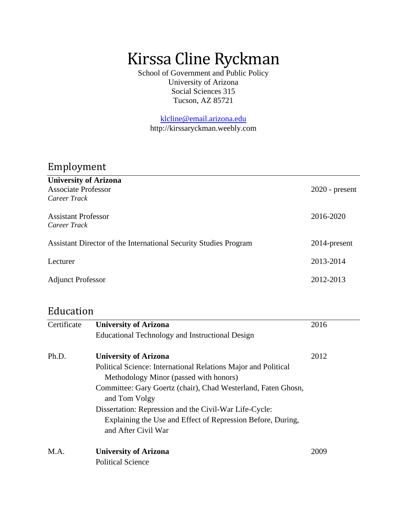# Kirssa Cline Ryckman

School of Government and Public Policy University of Arizona Social Sciences 315 Tucson, AZ 85721

[klcline@email.arizona.edu](mailto:klcline@email.arizona.edu)  http://kirssaryckman.weebly.com

# Employment

| <b>University of Arizona</b><br><b>Associate Professor</b>       | $2020$ - present |
|------------------------------------------------------------------|------------------|
| Career Track                                                     |                  |
| Assistant Professor<br>Career Track                              | 2016-2020        |
| Assistant Director of the International Security Studies Program | 2014-present     |
| Lecturer                                                         | 2013-2014        |
| <b>Adjunct Professor</b>                                         | 2012-2013        |

# Education

| Certificate | <b>University of Arizona</b>                                                                                                                 | 2016 |
|-------------|----------------------------------------------------------------------------------------------------------------------------------------------|------|
|             | Educational Technology and Instructional Design                                                                                              |      |
| Ph.D.       | <b>University of Arizona</b>                                                                                                                 | 2012 |
|             | Political Science: International Relations Major and Political<br>Methodology Minor (passed with honors)                                     |      |
|             | Committee: Gary Goertz (chair), Chad Westerland, Faten Ghosn,<br>and Tom Volgy                                                               |      |
|             | Dissertation: Repression and the Civil-War Life-Cycle:<br>Explaining the Use and Effect of Repression Before, During,<br>and After Civil War |      |
| M.A.        | <b>University of Arizona</b><br><b>Political Science</b>                                                                                     | 2009 |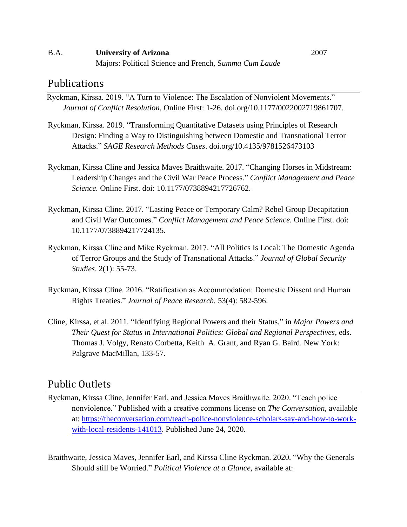#### B.A. **University of Arizona** 2007 Majors: Political Science and French, S*umma Cum Laude*

### Publications

Ryckman, Kirssa. 2019. "A Turn to Violence: The Escalation of Nonviolent Movements." *Journal of Conflict Resolution*, Online First: 1-26. doi.org/10.1177/0022002719861707.

- Ryckman, Kirssa. 2019. "Transforming Quantitative Datasets using Principles of Research Design: Finding a Way to Distinguishing between Domestic and Transnational Terror Attacks." *SAGE Research Methods Cases*. doi.org/10.4135/9781526473103
- Ryckman, Kirssa Cline and Jessica Maves Braithwaite. 2017. "Changing Horses in Midstream: Leadership Changes and the Civil War Peace Process." *Conflict Management and Peace Science.* Online First. doi: 10.1177/0738894217726762.
- Ryckman, Kirssa Cline. 2017*.* "Lasting Peace or Temporary Calm? Rebel Group Decapitation and Civil War Outcomes." *Conflict Management and Peace Science.* Online First. doi: 10.1177/0738894217724135.
- Ryckman, Kirssa Cline and Mike Ryckman. 2017. "All Politics Is Local: The Domestic Agenda of Terror Groups and the Study of Transnational Attacks." *Journal of Global Security Studies*. 2(1): 55-73.
- Ryckman, Kirssa Cline. 2016. "Ratification as Accommodation: Domestic Dissent and Human Rights Treaties." *Journal of Peace Research.* 53(4): 582-596.
- Cline, Kirssa, et al. 2011. "Identifying Regional Powers and their Status," in *Major Powers and Their Quest for Status in International Politics: Global and Regional Perspectives*, eds. Thomas J. Volgy, Renato Corbetta, Keith A. Grant, and Ryan G. Baird. New York: Palgrave MacMillan, 133-57.

## Public Outlets

- Ryckman, Kirssa Cline, Jennifer Earl, and Jessica Maves Braithwaite. 2020. "Teach police nonviolence." Published with a creative commons license on *The Conversation*, available at: [https://theconversation.com/teach-police-nonviolence-scholars-say-and-how-to-work](https://theconversation.com/teach-police-nonviolence-scholars-say-and-how-to-work-with-local-residents-141013)[with-local-residents-141013.](https://theconversation.com/teach-police-nonviolence-scholars-say-and-how-to-work-with-local-residents-141013) Published June 24, 2020.
- Braithwaite, Jessica Maves, Jennifer Earl, and Kirssa Cline Ryckman. 2020. "Why the Generals Should still be Worried." *Political Violence at a Glance*, available at: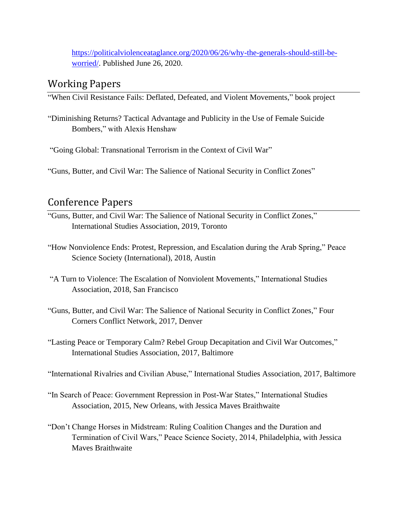[https://politicalviolenceataglance.org/2020/06/26/why-the-generals-should-still-be](https://politicalviolenceataglance.org/2020/06/26/why-the-generals-should-still-be-worried/)[worried/.](https://politicalviolenceataglance.org/2020/06/26/why-the-generals-should-still-be-worried/) Published June 26, 2020.

# Working Papers

"When Civil Resistance Fails: Deflated, Defeated, and Violent Movements," book project

"Diminishing Returns? Tactical Advantage and Publicity in the Use of Female Suicide Bombers," with Alexis Henshaw

"Going Global: Transnational Terrorism in the Context of Civil War"

"Guns, Butter, and Civil War: The Salience of National Security in Conflict Zones"

# Conference Papers

- "Guns, Butter, and Civil War: The Salience of National Security in Conflict Zones," International Studies Association, 2019, Toronto
- "How Nonviolence Ends: Protest, Repression, and Escalation during the Arab Spring," Peace Science Society (International), 2018, Austin

"A Turn to Violence: The Escalation of Nonviolent Movements," International Studies Association, 2018, San Francisco

- "Guns, Butter, and Civil War: The Salience of National Security in Conflict Zones," Four Corners Conflict Network, 2017, Denver
- "Lasting Peace or Temporary Calm? Rebel Group Decapitation and Civil War Outcomes," International Studies Association, 2017, Baltimore

"International Rivalries and Civilian Abuse," International Studies Association, 2017, Baltimore

- "In Search of Peace: Government Repression in Post-War States," International Studies Association, 2015, New Orleans, with Jessica Maves Braithwaite
- "Don't Change Horses in Midstream: Ruling Coalition Changes and the Duration and Termination of Civil Wars," Peace Science Society, 2014, Philadelphia, with Jessica Maves Braithwaite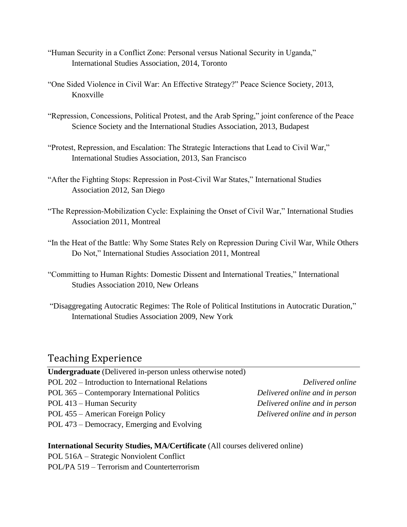- "Human Security in a Conflict Zone: Personal versus National Security in Uganda," International Studies Association, 2014, Toronto
- "One Sided Violence in Civil War: An Effective Strategy?" Peace Science Society, 2013, Knoxville
- "Repression, Concessions, Political Protest, and the Arab Spring," joint conference of the Peace Science Society and the International Studies Association, 2013, Budapest
- "Protest, Repression, and Escalation: The Strategic Interactions that Lead to Civil War," International Studies Association, 2013, San Francisco
- "After the Fighting Stops: Repression in Post-Civil War States," International Studies Association 2012, San Diego
- "The Repression-Mobilization Cycle: Explaining the Onset of Civil War," International Studies Association 2011, Montreal
- "In the Heat of the Battle: Why Some States Rely on Repression During Civil War, While Others Do Not," International Studies Association 2011, Montreal
- "Committing to Human Rights: Domestic Dissent and International Treaties," International Studies Association 2010, New Orleans
- "Disaggregating Autocratic Regimes: The Role of Political Institutions in Autocratic Duration," International Studies Association 2009, New York

## Teaching Experience

| <b>Undergraduate</b> (Delivered in-person unless otherwise noted) |                                |
|-------------------------------------------------------------------|--------------------------------|
| POL 202 – Introduction to International Relations                 | Delivered online               |
| POL 365 – Contemporary International Politics                     | Delivered online and in person |
| POL 413 – Human Security                                          | Delivered online and in person |
| POL 455 – American Foreign Policy                                 | Delivered online and in person |
| POL 473 – Democracy, Emerging and Evolving                        |                                |
|                                                                   |                                |

#### **International Security Studies, MA/Certificate** (All courses delivered online)

- POL 516A Strategic Nonviolent Conflict
- POL/PA 519 Terrorism and Counterterrorism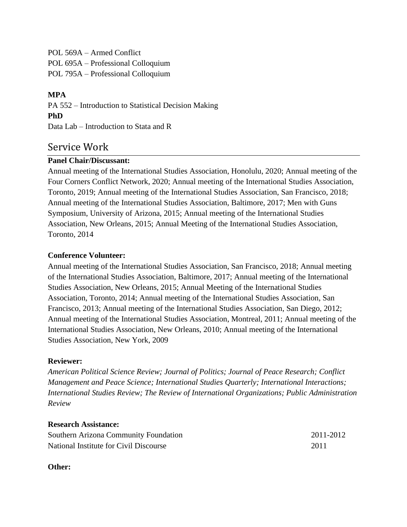POL 569A – Armed Conflict POL 695A – Professional Colloquium POL 795A – Professional Colloquium

#### **MPA**

PA 552 – Introduction to Statistical Decision Making **PhD**  Data Lab – Introduction to Stata and R

### Service Work

#### **Panel Chair/Discussant:**

Annual meeting of the International Studies Association, Honolulu, 2020; Annual meeting of the Four Corners Conflict Network, 2020; Annual meeting of the International Studies Association, Toronto, 2019; Annual meeting of the International Studies Association, San Francisco, 2018; Annual meeting of the International Studies Association, Baltimore, 2017; Men with Guns Symposium, University of Arizona, 2015; Annual meeting of the International Studies Association, New Orleans, 2015; Annual Meeting of the International Studies Association, Toronto, 2014

#### **Conference Volunteer:**

Annual meeting of the International Studies Association, San Francisco, 2018; Annual meeting of the International Studies Association, Baltimore, 2017; Annual meeting of the International Studies Association, New Orleans, 2015; Annual Meeting of the International Studies Association, Toronto, 2014; Annual meeting of the International Studies Association, San Francisco, 2013; Annual meeting of the International Studies Association, San Diego, 2012; Annual meeting of the International Studies Association, Montreal, 2011; Annual meeting of the International Studies Association, New Orleans, 2010; Annual meeting of the International Studies Association, New York, 2009

#### **Reviewer:**

*American Political Science Review; Journal of Politics; Journal of Peace Research; Conflict Management and Peace Science; International Studies Quarterly; International Interactions; International Studies Review; The Review of International Organizations; Public Administration Review*

#### **Research Assistance:**

| Southern Arizona Community Foundation  | 2011-2012 |
|----------------------------------------|-----------|
| National Institute for Civil Discourse | 2011      |

#### **Other:**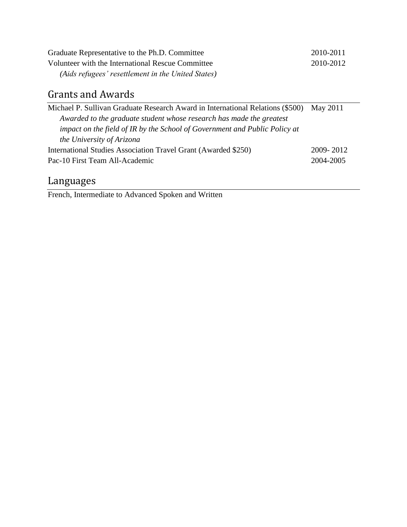| Graduate Representative to the Ph.D. Committee     | 2010-2011 |
|----------------------------------------------------|-----------|
| Volunteer with the International Rescue Committee  | 2010-2012 |
| (Aids refugees' resettlement in the United States) |           |

# Grants and Awards

| Michael P. Sullivan Graduate Research Award in International Relations (\$500) May 2011 |           |
|-----------------------------------------------------------------------------------------|-----------|
| Awarded to the graduate student whose research has made the greatest                    |           |
| impact on the field of IR by the School of Government and Public Policy at              |           |
| the University of Arizona                                                               |           |
| International Studies Association Travel Grant (Awarded \$250)                          | 2009-2012 |
| Pac-10 First Team All-Academic                                                          |           |

# Languages

French, Intermediate to Advanced Spoken and Written